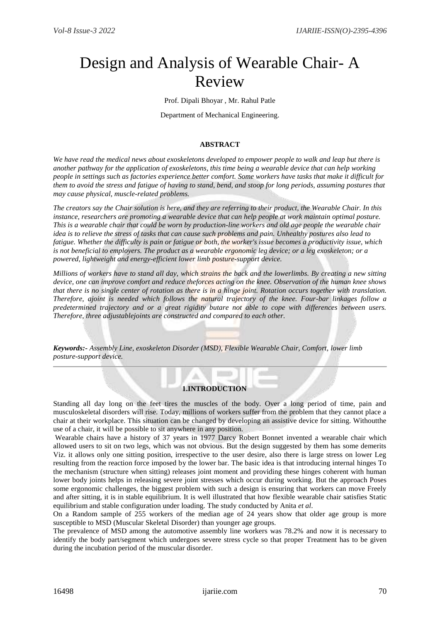# Design and Analysis of Wearable Chair- A Review

Prof. Dipali Bhoyar , Mr. Rahul Patle

Department of Mechanical Engineering.

#### **ABSTRACT**

*We have read the medical news about exoskeletons developed to empower people to walk and leap but there is another pathway for the application of exoskeletons, this time being a wearable device that can help working people in settings such as factories experience better comfort. Some workers have tasks that make it difficult for them to avoid the stress and fatigue of having to stand, bend, and stoop for long periods, assuming postures that may cause physical, muscle-related problems.* 

*The creators say the Chair solution is here, and they are referring to their product, the Wearable Chair. In this instance, researchers are promoting a wearable device that can help people at work maintain optimal posture. This is a wearable chair that could be worn by production-line workers and old age people the wearable chair idea is to relieve the stress of tasks that can cause such problems and pain. Unhealthy postures also lead to fatigue. Whether the difficulty is pain or fatigue or both, the worker's issue becomes a productivity issue, which is not beneficial to employers. The product as a wearable ergonomic leg device; or a leg exoskeleton; or a powered, lightweight and energy-efficient lower limb posture-support device.*

*Millions of workers have to stand all day, which strains the back and the lowerlimbs. By creating a new sitting device, one can improve comfort and reduce theforces acting on the knee. Observation of the human knee shows that there is no single center of rotation as there is in a hinge joint. Rotation occurs together with translation. Therefore, ajoint is needed which follows the natural trajectory of the knee. Four-bar linkages follow a predetermined trajectory and or a great rigidity butare not able to cope with differences between users. Therefore, three adjustablejoints are constructed and compared to each other.*

*Keywords:- Assembly Line, exoskeleton Disorder (MSD), Flexible Wearable Chair, Comfort, lower limb posture-support device.*

## **1.INTRODUCTION**

m

Standing all day long on the feet tires the muscles of the body. Over a long period of time, pain and musculoskeletal disorders will rise. Today, millions of workers suffer from the problem that they cannot place a chair at their workplace. This situation can be changed by developing an assistive device for sitting. Withoutthe use of a chair, it will be possible to sit anywhere in any position.

Wearable chairs have a history of 37 years in 1977 Darcy Robert Bonnet invented a wearable chair which allowed users to sit on two legs, which was not obvious. But the design suggested by them has some demerits Viz. it allows only one sitting position, irrespective to the user desire, also there is large stress on lower Leg resulting from the reaction force imposed by the lower bar. The basic idea is that introducing internal hinges To the mechanism (structure when sitting) releases joint moment and providing these hinges coherent with human lower body joints helps in releasing severe joint stresses which occur during working. But the approach Poses some ergonomic challenges, the biggest problem with such a design is ensuring that workers can move Freely and after sitting, it is in stable equilibrium. It is well illustrated that how flexible wearable chair satisfies Static equilibrium and stable configuration under loading. The study conducted by Anita *et al*.

On a Random sample of 255 workers of the median age of 24 years show that older age group is more susceptible to MSD (Muscular Skeletal Disorder) than younger age groups.

The prevalence of MSD among the automotive assembly line workers was 78.2% and now it is necessary to identify the body part/segment which undergoes severe stress cycle so that proper Treatment has to be given during the incubation period of the muscular disorder.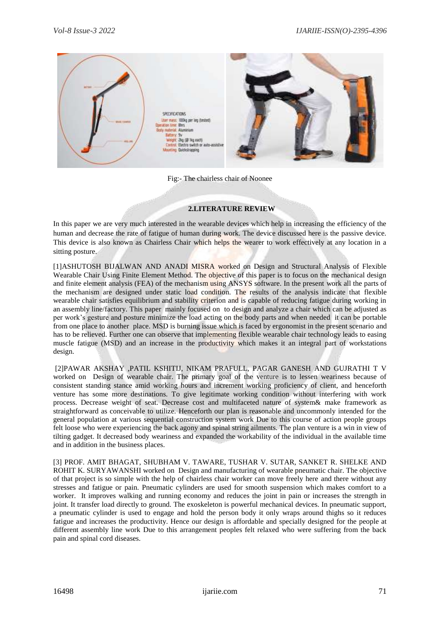

Fig:- The chairless chair of Noonee

#### **2.LITERATURE REVIEW**

In this paper we are very much interested in the wearable devices which help in increasing the efficiency of the human and decrease the rate of fatigue of human during work. The device discussed here is the passive device. This device is also known as Chairless Chair which helps the wearer to work effectively at any location in a sitting posture.

[1]ASHUTOSH BIJALWAN AND ANADI MISRA worked on Design and Structural Analysis of Flexible Wearable Chair Using Finite Element Method. The objective of this paper is to focus on the mechanical design and finite element analysis (FEA) of the mechanism using ANSYS software. In the present work all the parts of the mechanism are designed under static load condition. The results of the analysis indicate that flexible wearable chair satisfies equilibrium and stability criterion and is capable of reducing fatigue during working in an assembly line/factory. This paper mainly focused on to design and analyze a chair which can be adjusted as per work's gesture and posture minimize the load acting on the body parts and when needed it can be portable from one place to another place. MSD is burning issue which is faced by ergonomist in the present scenario and has to be relieved. Further one can observe that implementing flexible wearable chair technology leads to easing muscle fatigue (MSD) and an increase in the productivity which makes it an integral part of workstations design.

[2]PAWAR AKSHAY ,PATIL KSHITIJ, NIKAM PRAFULL, PAGAR GANESH AND GUJRATHI T V worked on Design of wearable chair. The primary goal of the venture is to lessen weariness because of consistent standing stance amid working hours and increment working proficiency of client, and henceforth venture has some more destinations. To give legitimate working condition without interfering with work process. Decrease weight of seat. Decrease cost and multifaceted nature of system& make framework as straightforward as conceivable to utilize. Henceforth our plan is reasonable and uncommonly intended for the general population at various sequential construction system work Due to this course of action people groups felt loose who were experiencing the back agony and spinal string ailments. The plan venture is a win in view of tilting gadget. It decreased body weariness and expanded the workability of the individual in the available time and in addition in the business places.

[3] PROF. AMIT BHAGAT, SHUBHAM V. TAWARE, TUSHAR V. SUTAR, SANKET R. SHELKE AND ROHIT K. SURYAWANSHI worked on Design and manufacturing of wearable pneumatic chair. The objective of that project is so simple with the help of chairless chair worker can move freely here and there without any stresses and fatigue or pain. Pneumatic cylinders are used for smooth suspension which makes comfort to a worker. It improves walking and running economy and reduces the joint in pain or increases the strength in joint. It transfer load directly to ground. The exoskeleton is powerful mechanical devices. In pneumatic support, a pneumatic cylinder is used to engage and hold the person body it only wraps around thighs so it reduces fatigue and increases the productivity. Hence our design is affordable and specially designed for the people at different assembly line work Due to this arrangement peoples felt relaxed who were suffering from the back pain and spinal cord diseases.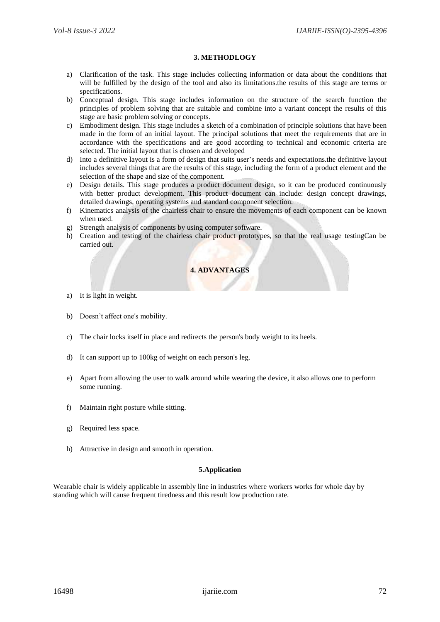#### **3. METHODLOGY**

- a) Clarification of the task. This stage includes collecting information or data about the conditions that will be fulfilled by the design of the tool and also its limitations.the results of this stage are terms or specifications.
- b) Conceptual design. This stage includes information on the structure of the search function the principles of problem solving that are suitable and combine into a variant concept the results of this stage are basic problem solving or concepts.
- c) Embodiment design. This stage includes a sketch of a combination of principle solutions that have been made in the form of an initial layout. The principal solutions that meet the requirements that are in accordance with the specifications and are good according to technical and economic criteria are selected. The initial layout that is chosen and developed
- d) Into a definitive layout is a form of design that suits user's needs and expectations.the definitive layout includes several things that are the results of this stage, including the form of a product element and the selection of the shape and size of the component.
- e) Design details. This stage produces a product document design, so it can be produced continuously with better product development. This product document can include: design concept drawings, detailed drawings, operating systems and standard component selection.
- f) Kinematics analysis of the chairless chair to ensure the movements of each component can be known when used.
- g) Strength analysis of components by using computer software.
- h) Creation and testing of the chairless chair product prototypes, so that the real usage testingCan be carried out.

# **4. ADVANTAGES**

- a) It is light in weight.
- b) Doesn't affect one's mobility.
- c) The chair locks itself in place and redirects the person's body weight to its heels.
- d) It can support up to 100kg of weight on each person's leg.
- e) Apart from allowing the user to walk around while wearing the device, it also allows one to perform some running.
- f) Maintain right posture while sitting.
- g) Required less space.
- h) Attractive in design and smooth in operation.

#### **5.Application**

Wearable chair is widely applicable in assembly line in industries where workers works for whole day by standing which will cause frequent tiredness and this result low production rate.